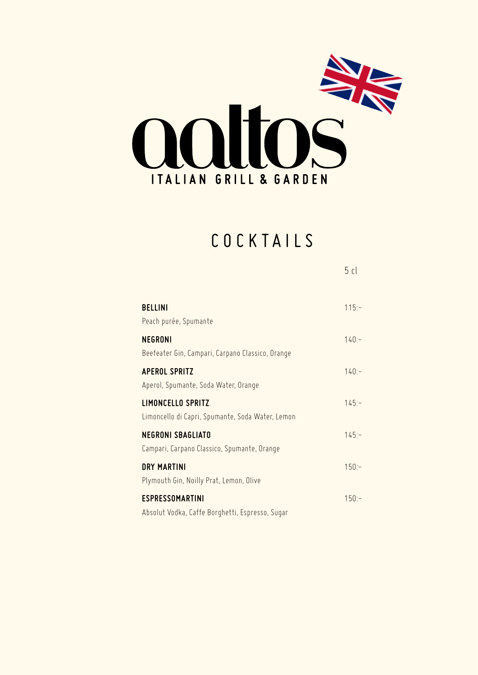

### COCKTAILS

5 cl

| <b>BELLINI</b><br>Peach purée, Spumante                                      | $115:-$  |
|------------------------------------------------------------------------------|----------|
| <b>NEGRONI</b><br>Beefeater Gin, Campari, Carpano Classico, Orange           | $140:-$  |
| <b>APEROL SPRITZ</b><br>Aperol, Spumante, Soda Water, Orange                 | $140:-$  |
| <b>LIMONCELLO SPRITZ</b><br>Limoncello di Capri, Spumante, Soda Water, Lemon | $145: -$ |
| <b>NEGRONI SBAGLIATO</b><br>Campari, Carpano Classico, Spumante, Orange      | $145:-$  |
| <b>DRY MARTINI</b><br>Plymouth Gin, Noilly Prat, Lemon, Olive                | $150:-$  |
| <b>ESPRESSOMARTINI</b><br>Absolut Vodka, Caffe Borghetti, Espresso, Sugar    | $150:-$  |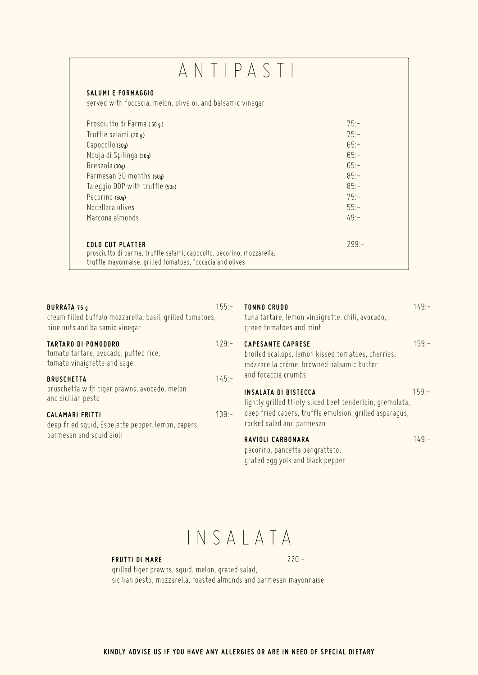### ANTIPASTI

#### **SALUMI E FORMAGGIO**

served with foccacia, melon, olive oil and balsamic vinegar

| Prosciutto di Parma (50 g)                                            | $75 -$  |
|-----------------------------------------------------------------------|---------|
| Truffle salami (30 q)                                                 | $75: -$ |
| Capocollo (30g)                                                       | $65:-$  |
| Nduja di Spilinga (30g)                                               | $65:-$  |
| Bresaola (30g)                                                        | $65: -$ |
| Parmesan 30 months (50g)                                              | $85:-$  |
| Taleggio DOP with truffle (50g)                                       | $85:-$  |
| Pecorino (50g)                                                        | $75 -$  |
| Nocellara olives                                                      | $55:-$  |
| Marcona almonds                                                       | $49 -$  |
|                                                                       |         |
| <b>COLD CUT PLATTER</b>                                               | $799 -$ |
| prosciutto di parma, truffle salami, capocollo, pecorino, mozzarella, |         |
| truffle mayonnaise, grilled tomatoes, foccacia and olives             |         |

| <b>BURRATA 75 g</b><br>cream filled buffalo mozzarella, basil, grilled tomatoes,<br>pine nuts and balsamic vinegar | $155:-$  | <b>TONNO CRUDO</b><br>tuna tartare, lemon vinaigrette, chili, avocado,<br>green tomatoes and mint                           | $149: -$ |
|--------------------------------------------------------------------------------------------------------------------|----------|-----------------------------------------------------------------------------------------------------------------------------|----------|
| <b>TARTARO DI POMODORO</b><br>tomato tartare, avocado, puffed rice,<br>tomato vinaigrette and sage                 | $129 -$  | <b>CAPESANTE CAPRESE</b><br>broiled scallops, lemon kissed tomatoes, cherries,<br>mozzarella crème, browned balsamic butter | $159: -$ |
| <b>BRUSCHETTA</b><br>bruschetta with tiger prawns, avocado, melon<br>and sicilian pesto                            | $145: -$ | and focaccia crumbs<br><b>INSALATA DI BISTECCA</b><br>lightly grilled thinly sliced beef tenderloin, gremolata,             | $159: -$ |
| <b>CALAMARI FRITTI</b><br>deep fried squid, Espelette pepper, lemon, capers,                                       | $139 -$  | deep fried capers, truffle emulsion, grilled asparagus,<br>rocket salad and parmesan                                        |          |
| parmesan and squid aioli                                                                                           |          | RAVIOLI CARBONARA<br>pecorino, pancetta pangrattato,<br>grated egg yolk and black pepper                                    | $149 -$  |

INSALATA

#### **FRUTTI DI MARE** 220:-

grilled tiger prawns, squid, melon, grated salad, sicilian pesto, mozzarella, roasted almonds and parmesan mayonnaise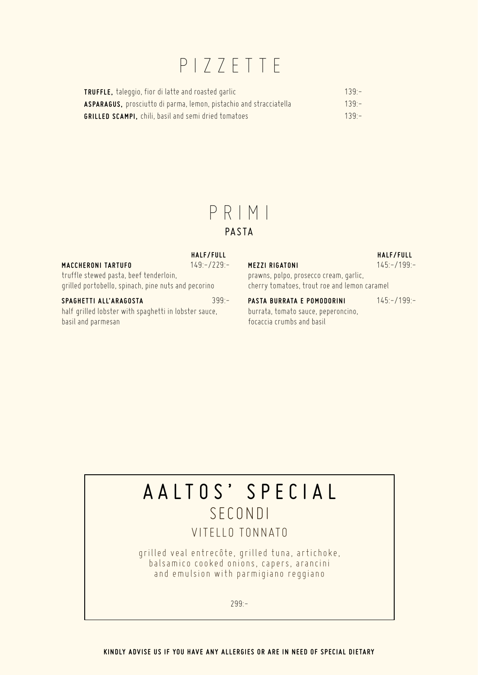### PIZZETTE

| <b>TRUFFLE,</b> taleggio, fior di latte and roasted garlic         | $139 -$ |
|--------------------------------------------------------------------|---------|
| ASPARAGUS, prosciutto di parma, lemon, pistachio and stracciatella | $139 -$ |
| <b>GRILLED SCAMPI.</b> chili, basil and semi dried tomatoes        | $139 -$ |

### PRIMI

#### **PASTA**

|                                                     | HALF/FULL     |
|-----------------------------------------------------|---------------|
| <b>MACCHERONI TARTUFO</b>                           | $149:-/229:-$ |
| truffle stewed pasta, beef tenderloin,              |               |
| grilled portobello, spinach, pine nuts and pecorino |               |
| SPAGHETTI ALL'ARAGOSTA                              | $399 -$       |

half grilled lobster with spaghetti in lobster sauce, basil and parmesan

|                                              | HALF/FULL     |
|----------------------------------------------|---------------|
| <b>MEZZI RIGATONI</b>                        | $145:-/199:-$ |
| prawns, polpo, prosecco cream, garlic,       |               |
| cherry tomatoes, trout roe and lemon caramel |               |
|                                              |               |

PASTA BURRATA E POMODORINI 145:-/199:burrata, tomato sauce, peperoncino, focaccia crumbs and basil

### AALTOS' SPECIAL SECONDI

### VITELLO TONNATO

grilled veal entrecôte, grilled tuna, artichoke, balsamico cooked onions, capers, arancini and emulsion with parmigiano reggiano

299:-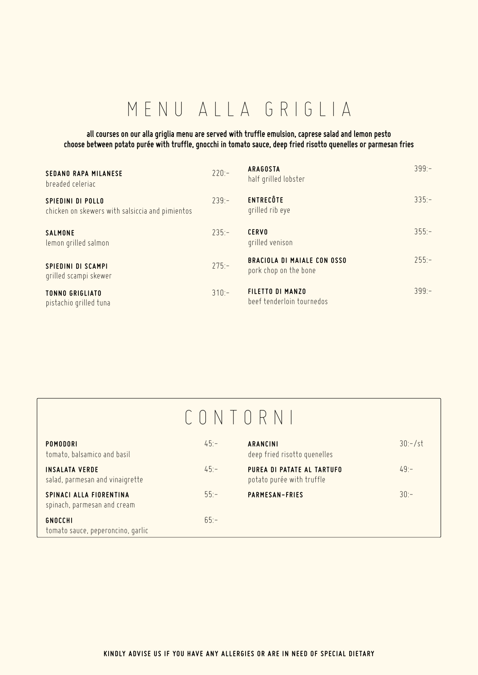# MENU ALLA GRIGLIA

#### **all courses on our alla griglia menu are served with truffle emulsion, caprese salad and lemon pesto choose between potato purée with truffle, gnocchi in tomato sauce, deep fried risotto quenelles or parmesan fries**

| <b>SEDANO RAPA MILANESE</b><br>breaded celeriac                      | $220:-$  | <b>ARAGOSTA</b><br>half grilled lobster                     | $399 -$  |
|----------------------------------------------------------------------|----------|-------------------------------------------------------------|----------|
| SPIEDINI DI POLLO<br>chicken on skewers with salsiccia and pimientos | $739 -$  | <b>ENTRECÔTE</b><br>grilled rib eye                         | $335 -$  |
| <b>SALMONE</b><br>lemon grilled salmon                               | $735 -$  | <b>CERVO</b><br>grilled venison                             | $355 -$  |
| <b>SPIEDINI DI SCAMPI</b><br>grilled scampi skewer                   | $275: -$ | <b>BRACIOLA DI MAIALE CON OSSO</b><br>pork chop on the bone | $255:-$  |
| <b>TONNO GRIGLIATO</b><br>pistachio grilled tuna                     | $310 -$  | <b>FILETTO DI MANZO</b><br>beef tenderloin tournedos        | $399: -$ |

# CONTORNI

| <b>POMODORI</b><br>tomato, balsamico and basil           | $45 -$ | <b>ARANCINI</b><br>deep fried risotto quenelles         | $30:-/st$ |
|----------------------------------------------------------|--------|---------------------------------------------------------|-----------|
| <b>INSALATA VERDE</b><br>salad, parmesan and vinaigrette | $45 -$ | PUREA DI PATATE AL TARTUFO<br>potato purée with truffle | $49 -$    |
| SPINACI ALLA FIORENTINA<br>spinach, parmesan and cream   | $55 -$ | <b>PARMESAN-FRIES</b>                                   | $30 -$    |
| <b>GNOCCHI</b><br>tomato sauce, peperoncino, garlic      | $65 -$ |                                                         |           |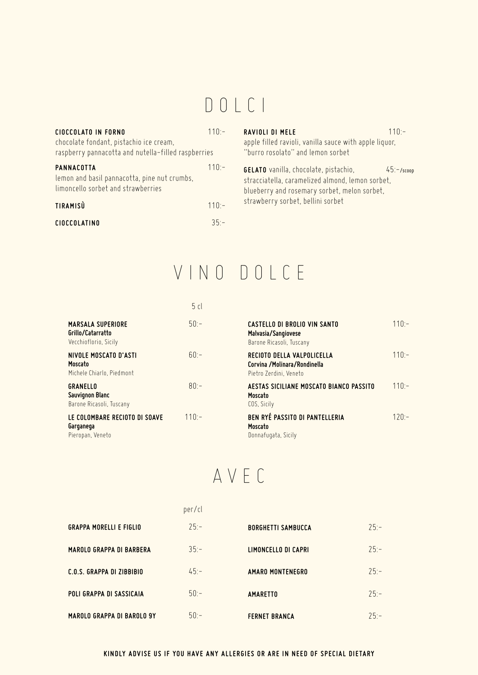### DOLCI

| <b>CIOCCOLATO IN FORNO</b><br>chocolate fondant, pistachio ice cream,<br>raspberry pannacotta and nutella-filled raspberries | $110 -$ | <b>RAVIOLI DI MELE</b><br>apple filled ravioli, vanilla sauce with apple liquor,<br>"burro rosolato" and lemon sorbet                            | $110 -$        |
|------------------------------------------------------------------------------------------------------------------------------|---------|--------------------------------------------------------------------------------------------------------------------------------------------------|----------------|
| PANNACOTTA<br>lemon and basil pannacotta, pine nut crumbs,<br>limoncello sorbet and strawberries                             | $110 -$ | <b>GELATO</b> vanilla, chocolate, pistachio,<br>stracciatella, caramelized almond, lemon sorbet,<br>blueberry and rosemary sorbet, melon sorbet, | $45 - /$ scoop |
| TIRAMISÙ                                                                                                                     | $110 -$ | strawberry sorbet, bellini sorbet                                                                                                                |                |
| <b>CIOCCOLATINO</b>                                                                                                          | $35 -$  |                                                                                                                                                  |                |
|                                                                                                                              |         |                                                                                                                                                  |                |

# VINO DOLCE

|                                                                        | 5cl     |                                                                                        |         |
|------------------------------------------------------------------------|---------|----------------------------------------------------------------------------------------|---------|
| <b>MARSALA SUPERIORE</b><br>Grillo/Catarratto<br>Vecchioflorio, Sicily | $50 -$  | <b>CASTELLO DI BROLIO VIN SANTO</b><br>Malvasia/Sangiovese<br>Barone Ricasoli, Tuscany | $110 -$ |
| NIVOLE MOSCATO D'ASTI<br>Moscato<br>Michele Chiarlo, Piedmont          | $60 -$  | RECIOTO DELLA VALPOLICELLA<br>Corvina / Molinara/Rondinella<br>Pietro Zerdini, Veneto  | $110 -$ |
| GRANELLO<br>Sauvignon Blanc<br>Barone Ricasoli, Tuscany                | $80 -$  | AESTAS SICILIANE MOSCATO BIANCO PASSITO<br>Moscato<br>COS, Sicily                      | $110 -$ |
| LE COLOMBARE RECIOTO DI SOAVE<br>Garganega<br>Pieropan, Veneto         | $110 -$ | <b>BEN RYÉ PASSITO DI PANTELLERIA</b><br>Moscato<br>Donnafugata, Sicily                | $120 -$ |

# AVEC

|                                  | per/cl |                           |        |
|----------------------------------|--------|---------------------------|--------|
| <b>GRAPPA MORELLI E FIGLIO</b>   | $25 -$ | <b>BORGHETTI SAMBUCCA</b> | $25 -$ |
| <b>MAROLO GRAPPA DI BARBERA</b>  | $35:-$ | LIMONCELLO DI CAPRI       | $25 -$ |
| <b>C.O.S. GRAPPA DI ZIBBIBIO</b> | $45:-$ | AMARO MONTENEGRO          | $25 -$ |
| <b>POLI GRAPPA DI SASSICAIA</b>  | $50:-$ | <b>AMARETTO</b>           | $25 -$ |
| MAROLO GRAPPA DI BAROLO 9Y       | $50:-$ | <b>FERNET BRANCA</b>      | $25 -$ |

#### **KINDLY ADVISE US IF YOU HAVE ANY ALLERGIES OR ARE IN NEED OF SPECIAL DIETARY**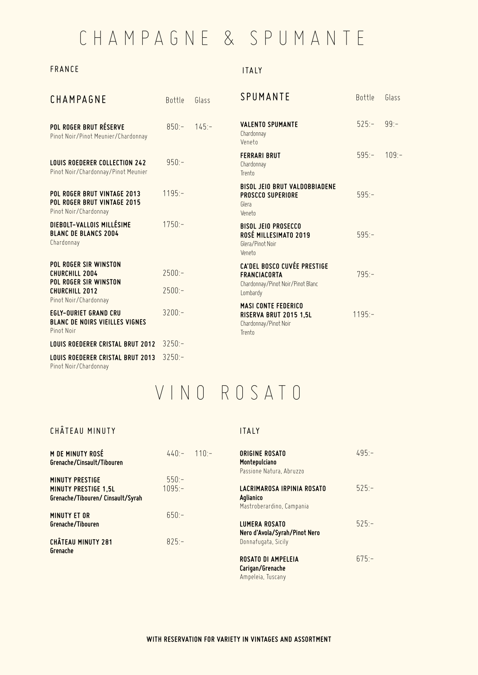## CHAMPAGNE & SPUMANTE

#### FRANCE

#### ITALY

| CHAMPAGNE                                                                                                    | Bottle               | Glass    | SPUMANTE                                                                                                   | Bottle    | Glass   |
|--------------------------------------------------------------------------------------------------------------|----------------------|----------|------------------------------------------------------------------------------------------------------------|-----------|---------|
| POL ROGER BRUT RÉSERVE<br>Pinot Noir/Pinot Meunier/Chardonnay                                                | $850 -$              | $145: -$ | <b>VALENTO SPUMANTE</b><br>Chardonnay<br>Veneto                                                            | $525:-$   | $99: -$ |
| <b>LOUIS ROEDERER COLLECTION 242</b><br>Pinot Noir/Chardonnay/Pinot Meunier                                  | $950:-$              |          | <b>FERRARI BRUT</b><br>Chardonnay<br>Trento                                                                | $595: -$  | 109:    |
| POL ROGER BRUT VINTAGE 2013<br>POL ROGER BRUT VINTAGE 2015<br>Pinot Noir/Chardonnay                          | $1195: -$            |          | <b>BISOL JEIO BRUT VALDOBBIADENE</b><br><b>PROSCCO SUPERIORE</b><br>Glera<br>Veneto                        | $595: -$  |         |
| DIEBOLT-VALLOIS MILLÉSIME<br><b>BLANC DE BLANCS 2004</b><br>Chardonnay                                       | $1750:-$             |          | <b>BISOL JEIO PROSECCO</b><br>ROSÉ MILLESIMATO 2019<br>Glera/Pinot Noir<br>Veneto                          | $595:-$   |         |
| POL ROGER SIR WINSTON<br>CHURCHILL 2004<br>POL ROGER SIR WINSTON<br>CHURCHILL 2012                           | $2500:-$<br>$2500:-$ |          | <b>CA'DEL BOSCO CUVÉE PRESTIGE</b><br><b>FRANCIACORTA</b><br>Chardonnay/Pinot Noir/Pinot Blanc<br>Lombardy | $795: -$  |         |
| Pinot Noir/Chardonnay<br><b>EGLY-OURIET GRAND CRU</b><br><b>BLANC DE NOIRS VIEILLES VIGNES</b><br>Pinot Noir | $3200:-$             |          | <b>MASI CONTE FEDERICO</b><br>RISERVA BRUT 2015 1,5L<br>Chardonnay/Pinot Noir<br>Trento                    | $1195: -$ |         |
| <b>LOUIS ROEDERER CRISTAL BRUT 2012</b>                                                                      | $3250:-$             |          |                                                                                                            |           |         |
| <b>LOUIS ROEDERER CRISTAL BRUT 2013</b>                                                                      | $3250:-$             |          |                                                                                                            |           |         |

Pinot Noir/Chardonnay

## VINO ROSATO

#### CHÂTEAU MINUTY

#### ITALY

| M DE MINUTY ROSÉ<br>Grenache/Cinsault/Tibouren                                             | $440 - 110 -$       | <b>ORIGINE ROSATO</b><br>Montepulciano<br>Passione Natura, Abruzzo   | $495 -$  |
|--------------------------------------------------------------------------------------------|---------------------|----------------------------------------------------------------------|----------|
| <b>MINUTY PRESTIGE</b><br><b>MINUTY PRESTIGE 1.5L</b><br>Grenache/Tibouren/ Cinsault/Syrah | $550 -$<br>$1095 -$ | LACRIMAROSA IRPINIA ROSATO<br>Aglianico<br>Mastroberardino, Campania | $525: -$ |
| <b>MINUTY ET OR</b><br>Grenache/Tibouren                                                   | $650 -$             | <b>LUMERA ROSATO</b><br>Nero d'Avola/Syrah/Pinot Nero                | $525 -$  |
| <b>CHÂTEAU MINUTY 281</b><br>Grenache                                                      | $825 -$             | Donnafugata, Sicily<br><b>ROSATO DI AMPELEIA</b>                     | $675 -$  |
|                                                                                            |                     | Carigan/Grenache<br>Ampeleia, Tuscany                                |          |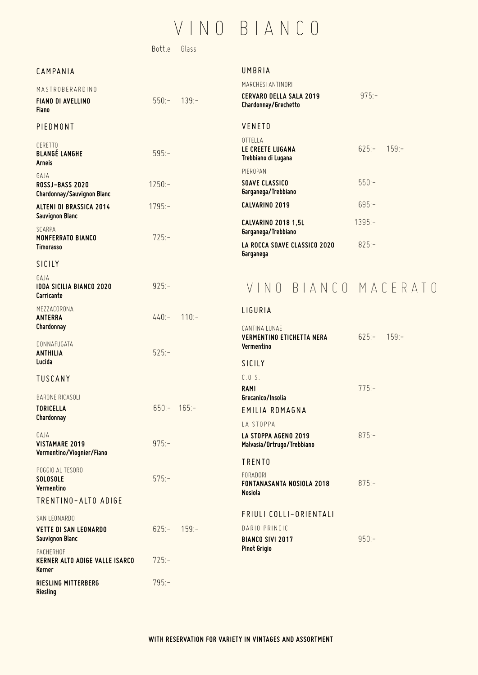### VINO BIANCO

Bottle Glass

### CAMPANIA MASTROBERARDINO

**Chardonnay/Sauvignon Blanc** 

**Fiano**

CERETTO

**Arneis**  GAJA

PIEDMONT

**FIANO DI AVELLINO** 550:- 139:-

**BLANGÉ LANGHE** 595:-

**ROSSJ-BASS 2020** 1250:-

**ALTENI DI BRASSICA 2014** 1795:-

**MONFERRATO BIANCO** 725:-

UMBRIA

| MARCHESI ANTINORI                                      |               |  |
|--------------------------------------------------------|---------------|--|
| <b>CERVARO DELLA SALA 2019</b><br>Chardonnay/Grechetto | $975: -$      |  |
| VENETO                                                 |               |  |
| OTTELLA<br>LE CREETE LUGANA<br>Trebbiano di Lugana     | $625 - 159 -$ |  |
| PIEROPAN                                               |               |  |
| SOAVE CLASSICO<br>Garganega/Trebbiano                  | $550 -$       |  |
| CALVARINO 2019                                         | $695 -$       |  |
| <b>CALVARINO 2018 1.5L</b><br>Garganega/Trebbiano      | $1395: -$     |  |
| LA ROCCA SOAVE CLASSICO 2020<br>Garqaneqa              | $825 -$       |  |

#### SICILY

**Timorasso**

SCARPA

**Sauvignon Blanc**

GAJA **IDDA SICILIA BIANCO 2020** 925:-**Carricante** MEZZACORONA

**ANTERRA** 440:- 110:- **Chardonnay**

DONNAFUGATA **ANTHILIA** 525:- **Lucida**

TUSCANY

BARONE RICASOLI **TORICELLA** 650:- 165:- **Chardonnay**

GAJA **VISTAMARE 2019** 975:- **Vermentino/Viognier/Fiano**

POGGIO AL TESORO

**Vermentino**

TRENTINO-ALTO ADIGE

SAN LEONARDO **VETTE DI SAN LEONARDO** 625:- 159:-**Sauvignon Blanc**

PACHERHOF **KERNER ALTO ADIGE VALLE ISARCO** 725:- **Kerner RIESLING MITTERBERG** 795:- **Riesling**

**SOLOSOLE** 575:-

### VINO BIANCO MACERATO

| LIGURIA                                                         |               |  |
|-----------------------------------------------------------------|---------------|--|
| CANTINA LUNAF<br><b>VERMENTINO ETICHETTA NERA</b><br>Vermentino | $625:- 159:-$ |  |
| SICILY                                                          |               |  |
| C.0.5.<br><b>RAMI</b><br>Grecanico/Insolia                      | $775 -$       |  |
| <b>FMILIA ROMAGNA</b>                                           |               |  |
| <b>IA STOPPA</b>                                                |               |  |
| LA STOPPA AGENO 2019<br>Malvasia/Ortrugo/Trebbiano              | $875 -$       |  |
| <b>TRENTO</b>                                                   |               |  |
| FORADORI<br><b>FONTANASANTA NOSIOLA 2018</b><br><b>Nosiola</b>  | $875 -$       |  |
| FRIULI COLLI-ORIENTALI                                          |               |  |
| DARIO PRINCIC                                                   |               |  |
| <b>BIANCO SIVI 2017</b><br>Pinot Grigio                         | $950 -$       |  |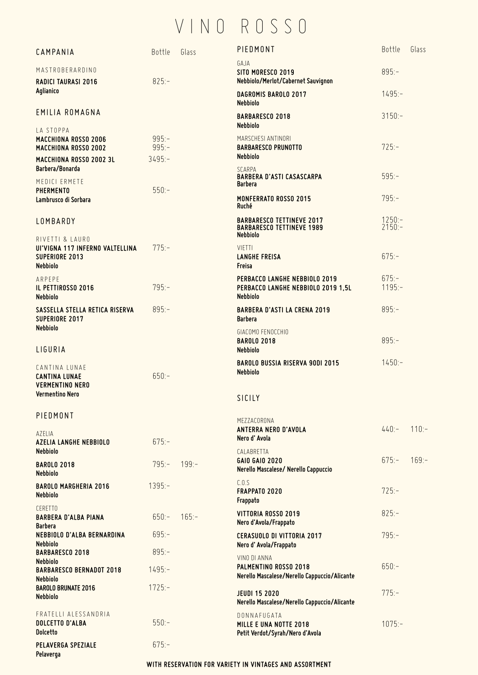# VINO ROSSO

| CAMPANIA                                                                         | Bottle             | Glass    | PIEDMONT                                                                                | Bottle                           | Glass    |
|----------------------------------------------------------------------------------|--------------------|----------|-----------------------------------------------------------------------------------------|----------------------------------|----------|
|                                                                                  |                    |          | GAJA                                                                                    |                                  |          |
| MASTROBERARDINO<br><b>RADICI TAURASI 2016</b>                                    | $825:-$            |          | SITO MORESCO 2019<br>Nebbiolo/Merlot/Cabernet Sauvignon                                 | $895:-$                          |          |
| Aglianico                                                                        |                    |          | DAGROMIS BAROLO 2017<br><b>Nebbiolo</b>                                                 | $1495: -$                        |          |
| EMILIA ROMAGNA                                                                   |                    |          | <b>BARBARESCO 2018</b><br><b>Nebbiolo</b>                                               | $3150:-$                         |          |
| LA STOPPA<br><b>MACCHIONA ROSSO 2006</b><br>MACCHIONA ROSSO 2002                 | $995:-$<br>$995:-$ |          | MARSCHESI ANTINORI<br><b>BARBARESCO PRUNOTTO</b>                                        | $725:-$                          |          |
| MACCHIONA ROSSO 2002 3L<br>Barbera/Bonarda                                       | $3495:-$           |          | <b>Nebbiolo</b><br>SCARPA                                                               |                                  |          |
| MEDICI ERMETE<br><b>PHERMENTO</b>                                                | $550:-$            |          | <b>BARBERA D'ASTI CASASCARPA</b><br>Barbera                                             | $595:-$                          |          |
| Lambrusco di Sorbara                                                             |                    |          | MONFERRATO ROSSO 2015<br>Ruché                                                          | $795:-$                          |          |
| LOMBARDY                                                                         |                    |          | <b>BARBARESCO TETTINEVE 2017</b><br><b>BARBARESCO TETTINEVE 1989</b><br><b>Nebbiolo</b> | $1250:-$<br>$2\overline{150}$ :- |          |
| RIVETTI & LAURO<br>UI'VIGNA 117 INFERNO VALTELLINA<br>SUPERIORE 2013<br>Nebbiolo | $775: -$           |          | <b>VIETTI</b><br><b>LANGHE FREISA</b><br>Freisa                                         | $675:-$                          |          |
| ARPEPE<br>IL PETTIROSSO 2016<br>Nebbiolo                                         | $795: -$           |          | PERBACCO LANGHE NEBBIOLO 2019<br>PERBACCO LANGHE NEBBIOLO 2019 1,5L<br><b>Nebbiolo</b>  | $675: -$<br>$1195: -$            |          |
| SASSELLA STELLA RETICA RISERVA<br>SUPERIORE 2017                                 | $895:-$            |          | <b>BARBERA D'ASTI LA CRENA 2019</b><br><b>Barbera</b>                                   | $895:-$                          |          |
| <b>Nebbiolo</b><br>LIGURIA                                                       |                    |          | GIACOMO FENOCCHIO<br><b>BAROLO 2018</b><br><b>Nebbiolo</b>                              | $895:-$                          |          |
| CANTINA LUNAE<br><b>CANTINA LUNAE</b><br><b>VERMENTINO NERO</b>                  | $650:-$            |          | <b>BAROLO BUSSIA RISERVA 90DI 2015</b><br><b>Nebbiolo</b>                               | $1450:-$                         |          |
| Vermentino Nero                                                                  |                    |          | SICILY                                                                                  |                                  |          |
| PIEDMONT                                                                         |                    |          | MEZZACORONA<br>ANTERRA NERO D'AVOLA                                                     | $440:-$                          | $110:-$  |
| AZELIA<br><b>AZELIA LANGHE NEBBIOLO</b><br><b>Nebbiolo</b>                       | $675:-$            |          | Nero d'Avola<br>CALABRETTA                                                              |                                  |          |
| <b>BAROLO 2018</b><br><b>Nebbiolo</b>                                            | $795: -$           | $199: -$ | <b>GAIO GAIO 2020</b><br>Nerello Mascalese/ Nerello Cappuccio                           | $675 -$                          | $169: -$ |
| <b>BAROLO MARGHERIA 2016</b><br><b>Nebbiolo</b>                                  | $1395: -$          |          | C.0.5<br>FRAPPATO 2020<br>Frappato                                                      | $725: -$                         |          |
| <b>CERETTO</b><br><b>BARBERA D'ALBA PIANA</b>                                    | $650:-$            | $165: -$ | VITTORIA ROSSO 2019<br>Nero d'Avola/Frappato                                            | $825:-$                          |          |
| <b>Barbera</b><br>NEBBIOLO D'ALBA BERNARDINA<br><b>Nebbiolo</b>                  | $695: -$           |          | <b>CERASUOLO DI VITTORIA 2017</b><br>Nero d' Avola/Frappato                             | $795:-$                          |          |
| <b>BARBARESCO 2018</b>                                                           | $895:-$            |          | VINO DI ANNA                                                                            |                                  |          |
| <b>Nebbiolo</b><br><b>BARBARESCO BERNADOT 2018</b><br><b>Nebbiolo</b>            | $1495: -$          |          | PALMENTINO ROSSO 2018<br>Nerello Mascalese/Nerello Cappuccio/Alicante                   | $650:-$                          |          |
| <b>BAROLO BRUNATE 2016</b><br><b>Nebbiolo</b>                                    | $1725: -$          |          | <b>JEUDI 15 2020</b><br>Nerello Mascalese/Nerello Cappuccio/Alicante                    | $775:-$                          |          |
| FRATELLI ALESSANDRIA<br><b>DOLCETTO D'ALBA</b><br><b>Dolcetto</b>                | $550:-$            |          | DONNAFUGATA<br>MILLE E UNA NOTTE 2018<br>Petit Verdot/Syrah/Nero d'Avola                | $1075: -$                        |          |
| PELAVERGA SPEZIALE<br>Pelaverga                                                  | $675:-$            |          |                                                                                         |                                  |          |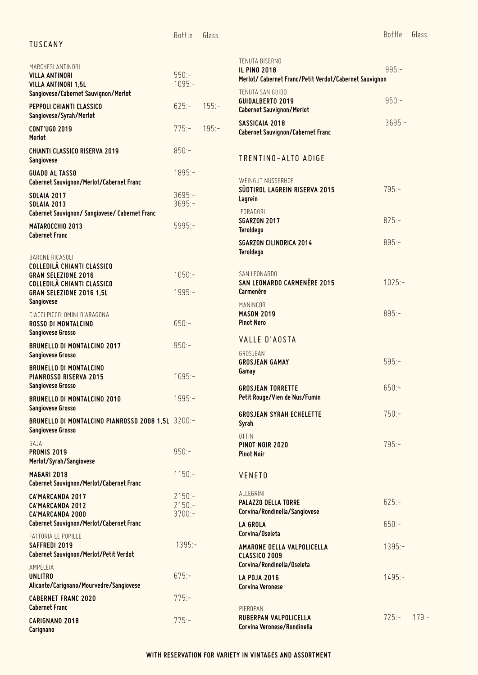| TUSCANY                                                                                                                          | Bottle                           | Glass   |                                                                                                 | Bottle    | Glass    |
|----------------------------------------------------------------------------------------------------------------------------------|----------------------------------|---------|-------------------------------------------------------------------------------------------------|-----------|----------|
| MARCHESI ANTINORI<br><b>VILLA ANTINORI</b><br><b>VILLA ANTINORI 1,5L</b>                                                         | $550:-$<br>$1095:-$              |         | TENUTA BISERNO<br><b>IL PINO 2018</b><br>Merlot/ Cabernet Franc/Petit Verdot/Cabernet Sauvignon | $995:-$   |          |
| Sangiovese/Cabernet Sauvignon/Merlot<br>PEPPOLI CHIANTI CLASSICO                                                                 | $625:-$                          | $155:-$ | TENUTA SAN GUIDO<br><b>GUIDALBERTO 2019</b><br><b>Cabernet Sauvignon/Merlot</b>                 | $950:-$   |          |
| Sangiovese/Syrah/Merlot<br><b>CONT'UGO 2019</b><br>Merlot                                                                        | $775: -$                         | $195:-$ | SASSICAIA 2018<br>Cabernet Sauvignon/Cabernet Franc                                             | $3695: -$ |          |
| <b>CHIANTI CLASSICO RISERVA 2019</b><br>Sangiovese                                                                               | $850:-$                          |         | TRENTINO-ALTO ADIGE                                                                             |           |          |
| <b>GUADO AL TASSO</b><br>Cabernet Sauvignon/Merlot/Cabernet Franc                                                                | $1895:-$                         |         | WEINGUT NUSSERHOF                                                                               |           |          |
| <b>SOLAIA 2017</b><br><b>SOLAIA 2013</b>                                                                                         | $3695: -$<br>$3695:-$            |         | SÜDTIROL LAGREIN RISERVA 2015<br>Lagrein<br><b>FORADORI</b>                                     | $795:-$   |          |
| Cabernet Sauvignon/ Sangiovese/ Cabernet Franc<br><b>MATAROCCHIO 2013</b><br><b>Cabernet Franc</b>                               | $5995: -$                        |         | <b>SGARZON 2017</b><br><b>Teroldego</b>                                                         | $825:-$   |          |
| BARONE RICASOLI                                                                                                                  |                                  |         | <b>SGARZON CILINDRICA 2014</b><br><b>Teroldego</b>                                              | $895:-$   |          |
| <b>COLLEDILÀ CHIANTI CLASSICO</b><br><b>GRAN SELEZIONE 2016</b><br><b>COLLEDILÀ CHIANTI CLASSICO</b><br>GRAN SELEZIONE 2016 1,5L | $1050:-$<br>$1995: -$            |         | SAN LEONARDO<br>SAN LEONARDO CARMENÈRE 2015<br>Carmenère                                        | $1025:-$  |          |
| Sangiovese<br>CIACCI PICCOLOMINI D'ARAGONA<br>ROSSO DI MONTALCINO                                                                | $650:-$                          |         | MANINCOR<br><b>MASON 2019</b><br><b>Pinot Nero</b>                                              | $895:-$   |          |
| Sangiovese Grosso<br><b>BRUNELLO DI MONTALCINO 2017</b>                                                                          | $950:-$                          |         | VALLE D'AOSTA                                                                                   |           |          |
| Sangiovese Grosso<br><b>BRUNELLO DI MONTALCINO</b><br>PIANROSSO RISERVA 2015                                                     | $1695: -$                        |         | GROSJEAN<br><b>GROSJEAN GAMAY</b><br>Gamay                                                      | $595:-$   |          |
| Sangiovese Grosso<br><b>BRUNELLO DI MONTALCINO 2010</b><br>Sangiovese Grosso                                                     | $1995: -$                        |         | <b>GROSJEAN TORRETTE</b><br>Petit Rouge/Vien de Nus/Fumin                                       | $650:-$   |          |
| BRUNELLO DI MONTALCINO PIANROSSO 2008 1,5L 3200:-<br>Sangiovese Grosso                                                           |                                  |         | <b>GROSJEAN SYRAH ECHELETTE</b><br>Syrah                                                        | $750:-$   |          |
| GAJA<br><b>PROMIS 2019</b><br>Merlot/Syrah/Sangiovese                                                                            | $950:-$                          |         | 0TTIN<br>PINOT NOIR 2020<br><b>Pinot Noir</b>                                                   | $795:-$   |          |
| <b>MAGARI 2018</b><br>Cabernet Sauvignon/Merlot/Cabernet Franc                                                                   | $1150:-$                         |         | <b>VENETO</b>                                                                                   |           |          |
| CA'MARCANDA 2017<br>CA'MARCANDA 2012<br>CA'MARCANDA 2000                                                                         | $2150:-$<br>$2150:-$<br>$3700:-$ |         | ALLEGRINI<br>PALAZZO DELLA TORRE<br>Corvina/Rondinella/Sangiovese                               | $625: -$  |          |
| Cabernet Sauvignon/Merlot/Cabernet Franc<br>FATTORIA LE PUPILLE                                                                  |                                  |         | <b>LA GROLA</b><br>Corvina/Oseleta                                                              | $650:-$   |          |
| SAFFREDI 2019<br>Cabernet Sauvignon/Merlot/Petit Verdot                                                                          | $1395:-$                         |         | AMARONE DELLA VALPOLICELLA<br>CLASSICO 2009<br>Corvina/Rondinella/Oseleta                       | $1395: -$ |          |
| AMPELEIA<br><b>UNLITRO</b><br>Alicante/Carignano/Mourvedre/Sangiovese                                                            | $675: -$                         |         | <b>LA POJA 2016</b><br><b>Corvina Veronese</b>                                                  | $1495: -$ |          |
| <b>CABERNET FRANC 2020</b><br><b>Cabernet Franc</b>                                                                              | $775:-$                          |         | PIEROPAN                                                                                        |           |          |
| CARIGNANO 2018<br>Carignano                                                                                                      | $775:-$                          |         | RUBERPAN VALPOLICELLA<br>Corvina Veronese/Rondinella                                            | $725: -$  | $179: -$ |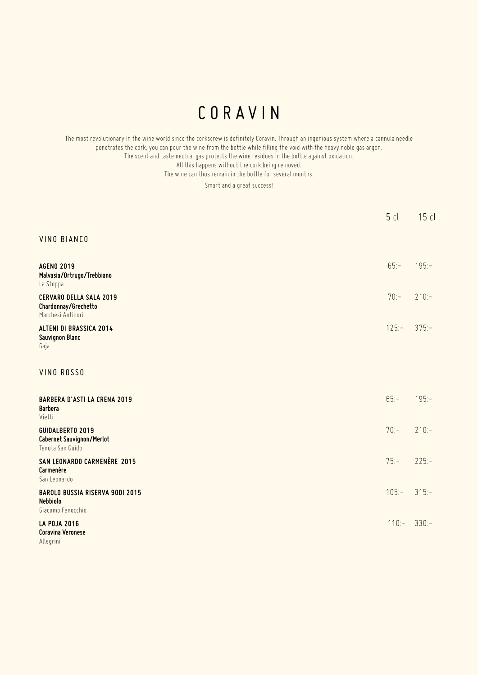### CORAVIN

The most revolutionary in the wine world since the corkscrew is definitely Coravin. Through an ingenious system where a cannula needle penetrates the cork, you can pour the wine from the bottle while filling the void with the heavy noble gas argon. The scent and taste neutral gas protects the wine residues in the bottle against oxidation. All this happens without the cork being removed. The wine can thus remain in the bottle for several months.

Smart and a great success!

|                                                                                | 5cl     | 15 cl    |
|--------------------------------------------------------------------------------|---------|----------|
| <b>VINO BIANCO</b>                                                             |         |          |
| <b>AGENO 2019</b><br>Malvasia/Ortrugo/Trebbiano<br>La Stoppa                   | $65:-$  | $195:-$  |
| <b>CERVARO DELLA SALA 2019</b><br>Chardonnay/Grechetto<br>Marchesi Antinori    | $70:-$  | $210:-$  |
| <b>ALTENI DI BRASSICA 2014</b><br>Sauvignon Blanc<br>Gaja                      | $125:-$ | $375:-$  |
| VINO ROSSO                                                                     |         |          |
| <b>BARBERA D'ASTI LA CRENA 2019</b><br><b>Barbera</b><br>Vietti                | $65: -$ | $195: -$ |
| <b>GUIDALBERTO 2019</b><br>Cabernet Sauvignon/Merlot<br>Tenuta San Guido       | $70:-$  | $210:-$  |
| SAN LEONARDO CARMENÈRE 2015<br>Carmenère<br>San Leonardo                       | $75: -$ | $225: -$ |
| <b>BAROLO BUSSIA RISERVA 90DI 2015</b><br><b>Nebbiolo</b><br>Giacomo Fenocchio | $105:-$ | $315:-$  |
| <b>LA POJA 2016</b><br>Coravina Veronese<br>Allegrini                          | $110:-$ | $330:-$  |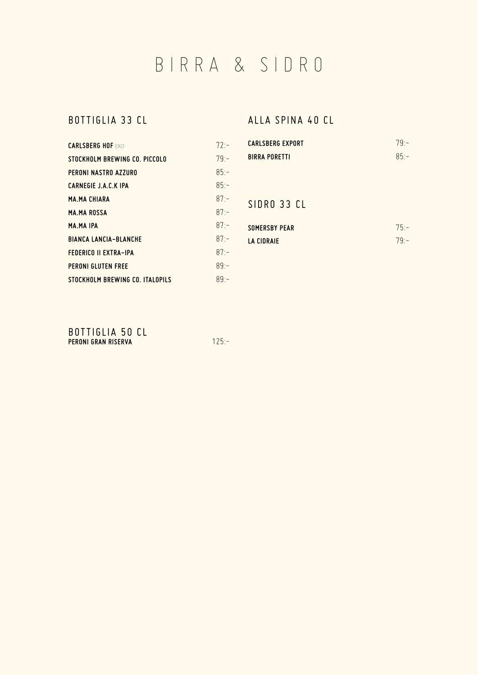BIRRA & SIDRO

### BOTTIGLIA 33 CL

| <b>CARLSBERG HOF FKO</b>        | $72 -$  |
|---------------------------------|---------|
| STOCKHOLM BREWING CO. PICCOLO   | $79 -$  |
| PERONI NASTRO AZZURO            | $85 -$  |
| <b>CARNEGIE J.A.C.K IPA</b>     | $85 -$  |
| <b>MA.MA CHIARA</b>             | $87 -$  |
| <b>MA.MAROSSA</b>               | $87 -$  |
| <b>MA.MA IPA</b>                | $87 -$  |
| <b>BIANCA LANCIA-BLANCHE</b>    | $87: -$ |
| <b>FEDERICO II EXTRA-IPA</b>    | $87: -$ |
| <b>PERONI GLUTEN FREE</b>       | $89 -$  |
| STOCKHOLM BREWING CO. ITALOPILS | $89 -$  |

### ALLA SPINA 40 CL

| <b>CARLSBERG EXPORT</b> | $79 -$ |
|-------------------------|--------|
| <b>BIRRA PORETTI</b>    | $85 -$ |
|                         |        |
|                         |        |

### SIDRO 33 CL

| SOMERSBY PEAR | $75 -$ |
|---------------|--------|
| LA CIDRAIE    | $79 -$ |